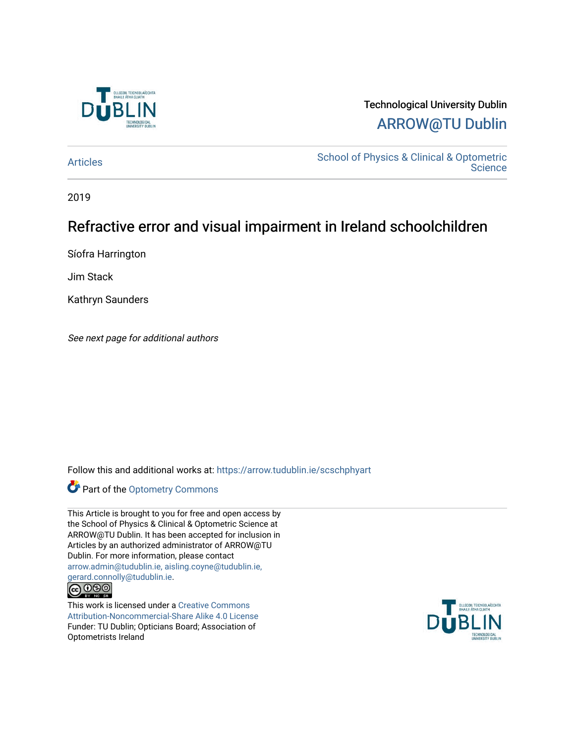

## Technological University Dublin [ARROW@TU Dublin](https://arrow.tudublin.ie/)

[Articles](https://arrow.tudublin.ie/scschphyart) [School of Physics & Clinical & Optometric](https://arrow.tudublin.ie/scschphy)  **Science** 

2019

# Refractive error and visual impairment in Ireland schoolchildren

Síofra Harrington

Jim Stack

Kathryn Saunders

See next page for additional authors

Follow this and additional works at: [https://arrow.tudublin.ie/scschphyart](https://arrow.tudublin.ie/scschphyart?utm_source=arrow.tudublin.ie%2Fscschphyart%2F141&utm_medium=PDF&utm_campaign=PDFCoverPages)

Part of the [Optometry Commons](http://network.bepress.com/hgg/discipline/730?utm_source=arrow.tudublin.ie%2Fscschphyart%2F141&utm_medium=PDF&utm_campaign=PDFCoverPages) 

This Article is brought to you for free and open access by the School of Physics & Clinical & Optometric Science at ARROW@TU Dublin. It has been accepted for inclusion in Articles by an authorized administrator of ARROW@TU Dublin. For more information, please contact [arrow.admin@tudublin.ie, aisling.coyne@tudublin.ie,](mailto:arrow.admin@tudublin.ie,%20aisling.coyne@tudublin.ie,%20gerard.connolly@tudublin.ie)  [gerard.connolly@tudublin.ie](mailto:arrow.admin@tudublin.ie,%20aisling.coyne@tudublin.ie,%20gerard.connolly@tudublin.ie).



This work is licensed under a [Creative Commons](http://creativecommons.org/licenses/by-nc-sa/4.0/) [Attribution-Noncommercial-Share Alike 4.0 License](http://creativecommons.org/licenses/by-nc-sa/4.0/) Funder: TU Dublin; Opticians Board; Association of Optometrists Ireland

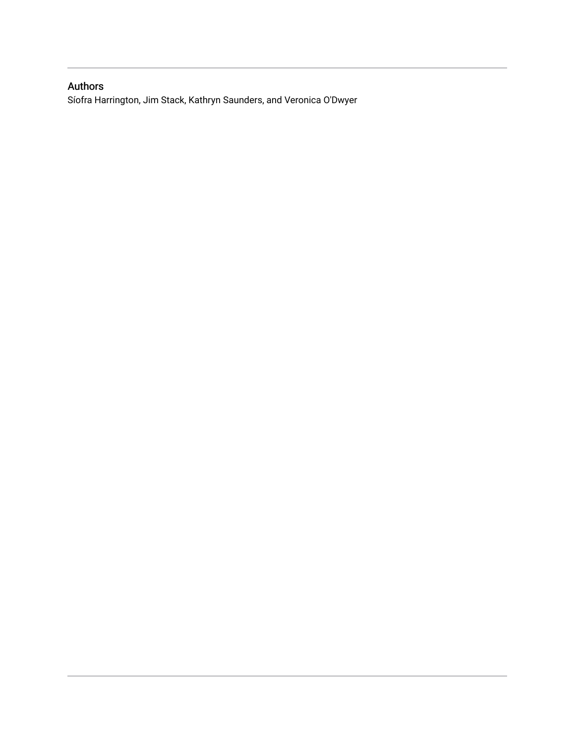### Authors

Síofra Harrington, Jim Stack, Kathryn Saunders, and Veronica O'Dwyer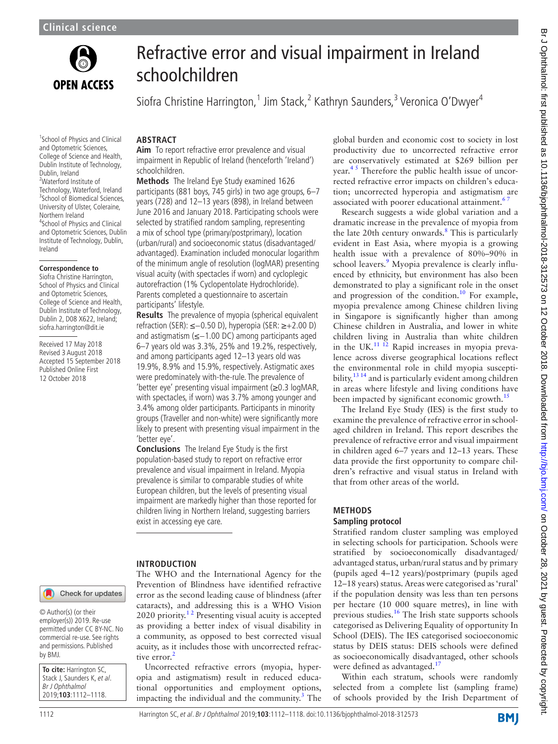

<sup>1</sup>School of Physics and Clinical and Optometric Sciences, College of Science and Health, Dublin Institute of Technology,

4 School of Physics and Clinical and Optometric Sciences, Dublin Institute of Technology, Dublin,

Dublin, Ireland <sup>2</sup>Waterford Institute of Technology, Waterford, Ireland <sup>3</sup>School of Biomedical Sciences, University of Ulster, Coleraine,

Northern Ireland

**Correspondence to** Siofra Christine Harrington, School of Physics and Clinical and Optometric Sciences, College of Science and Health, Dublin Institute of Technology, Dublin 2, D08 X622, Ireland; siofra.harrington@dit.ie Received 17 May 2018 Revised 3 August 2018 Accepted 15 September 2018 Published Online First 12 October 2018

Ireland

# Refractive error and visual impairment in Ireland schoolchildren

Siofra Christine Harrington,<sup>1</sup> Jim Stack,<sup>2</sup> Kathryn Saunders,<sup>3</sup> Veronica O'Dwyer<sup>4</sup>

#### **ARSTRACT**

**Aim** To report refractive error prevalence and visual impairment in Republic of Ireland (henceforth 'Ireland') schoolchildren.

**Methods** The Ireland Eye Study examined 1626 participants (881 boys, 745 girls) in two age groups, 6–7 years (728) and 12–13 years (898), in Ireland between June 2016 and January 2018. Participating schools were selected by stratified random sampling, representing a mix of school type (primary/postprimary), location (urban/rural) and socioeconomic status (disadvantaged/ advantaged). Examination included monocular logarithm of the minimum angle of resolution (logMAR) presenting visual acuity (with spectacles if worn) and cycloplegic autorefraction (1% Cyclopentolate Hydrochloride). Parents completed a questionnaire to ascertain participants' lifestyle.

**Results** The prevalence of myopia (spherical equivalent refraction (SER): ≤−0.50 D), hyperopia (SER: ≥+2.00 D) and astigmatism (≤−1.00 DC) among participants aged 6–7 years old was 3.3%, 25% and 19.2%, respectively, and among participants aged 12–13 years old was 19.9%, 8.9% and 15.9%, respectively. Astigmatic axes were predominately with-the-rule. The prevalence of 'better eye' presenting visual impairment (≥0.3 logMAR, with spectacles, if worn) was 3.7% among younger and 3.4% among older participants. Participants in minority groups (Traveller and non-white) were significantly more likely to present with presenting visual impairment in the 'better eye'.

**Conclusions** The Ireland Eye Study is the first population-based study to report on refractive error prevalence and visual impairment in Ireland. Myopia prevalence is similar to comparable studies of white European children, but the levels of presenting visual impairment are markedly higher than those reported for children living in Northern Ireland, suggesting barriers exist in accessing eye care.

#### **Introduction**

The WHO and the International Agency for the Prevention of Blindness have identified refractive error as the second leading cause of blindness (after cataracts), and addressing this is a WHO Vision 2020 priority. $12$  Presenting visual acuity is accepted as providing a better index of visual disability in a community, as opposed to best corrected visual acuity, as it includes those with uncorrected refrac-tive error.<sup>[2](#page-7-1)</sup>

Uncorrected refractive errors (myopia, hyperopia and astigmatism) result in reduced educational opportunities and employment options, impacting the individual and the community. $3$  The global burden and economic cost to society in lost productivity due to uncorrected refractive error are conservatively estimated at \$269 billion per year.<sup>45</sup> Therefore the public health issue of uncorrected refractive error impacts on children's education; uncorrected hyperopia and astigmatism are associated with poorer educational attainment.<sup>67</sup>

Research suggests a wide global variation and a dramatic increase in the prevalence of myopia from the late 20th century onwards. $8$  This is particularly evident in East Asia, where myopia is a growing health issue with a prevalence of 80%–90% in school leavers.<sup>9</sup> Myopia prevalence is clearly influenced by ethnicity, but environment has also been demonstrated to play a significant role in the onset and progression of the condition.<sup>[10](#page-7-7)</sup> For example, myopia prevalence among Chinese children living in Singapore is significantly higher than among Chinese children in Australia, and lower in white children living in Australia than white children in the UK.<sup>11 12</sup> Rapid increases in myopia prevalence across diverse geographical locations reflect the environmental role in child myopia susceptibility,  $13 \times 14$  and is particularly evident among children in areas where lifestyle and living conditions have been impacted by significant economic growth.<sup>[15](#page-7-10)</sup>

The Ireland Eye Study (IES) is the first study to examine the prevalence of refractive error in schoolaged children in Ireland. This report describes the prevalence of refractive error and visual impairment in children aged 6–7 years and 12–13 years. These data provide the first opportunity to compare children's refractive and visual status in Ireland with that from other areas of the world.

#### **Methods**

#### **Sampling protocol**

Stratified random cluster sampling was employed in selecting schools for participation. Schools were stratified by socioeconomically disadvantaged/ advantaged status, urban/rural status and by primary (pupils aged 4–12 years)/postprimary (pupils aged 12–18 years) status. Areas were categorised as 'rural' if the population density was less than ten persons per hectare (10 000 square metres), in line with previous studies.<sup>16</sup> The Irish state supports schools categorised as Delivering Equality of opportunity In School (DEIS). The IES categorised socioeconomic status by DEIS status: DEIS schools were defined as socioeconomically disadvantaged, other schools were defined as advantaged. $17$ 

Within each stratum, schools were randomly selected from a complete list (sampling frame) of schools provided by the Irish Department of

### Check for updates

© Author(s) (or their employer(s)) 2019. Re-use permitted under CC BY-NC. No commercial re-use. See rights and permissions. Published by BMJ.

**To cite:** Harrington SC, Stack J, Saunders K, et al. Br J Ophthalmol 2019;**103**:1112–1118.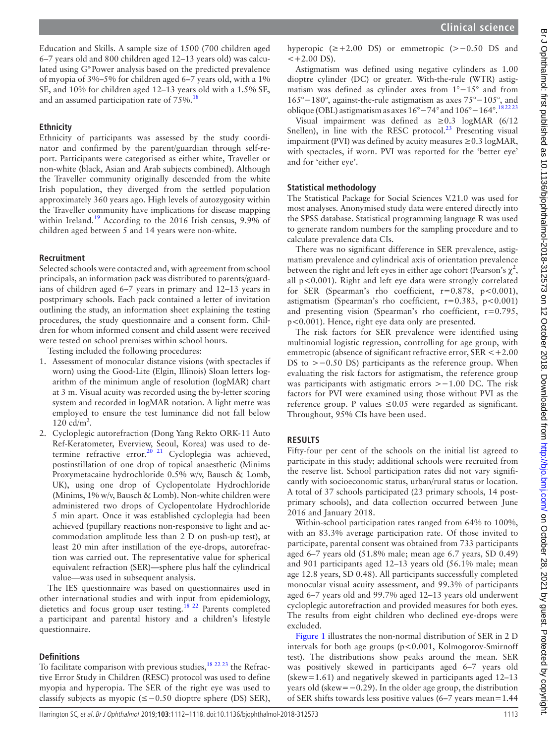Education and Skills. A sample size of 1500 (700 children aged 6–7 years old and 800 children aged 12–13 years old) was calculated using G\*Power analysis based on the predicted prevalence of myopia of 3%–5% for children aged 6–7 years old, with a 1% SE, and 10% for children aged 12–13 years old with a 1.5% SE, and an assumed participation rate of 75%.<sup>[18](#page-8-2)</sup>

#### **Ethnicity**

Ethnicity of participants was assessed by the study coordinator and confirmed by the parent/guardian through self-report. Participants were categorised as either white, Traveller or non-white (black, Asian and Arab subjects combined). Although the Traveller community originally descended from the white Irish population, they diverged from the settled population approximately 360 years ago. High levels of autozygosity within the Traveller community have implications for disease mapping within Ireland.<sup>19</sup> According to the 2016 Irish census, 9.9% of children aged between 5 and 14 years were non-white.

#### **Recruitment**

Selected schools were contacted and, with agreement from school principals, an information pack was distributed to parents/guardians of children aged 6–7 years in primary and 12–13 years in postprimary schools. Each pack contained a letter of invitation outlining the study, an information sheet explaining the testing procedures, the study questionnaire and a consent form. Children for whom informed consent and child assent were received were tested on school premises within school hours.

Testing included the following procedures:

- 1. Assessment of monocular distance visions (with spectacles if worn) using the Good-Lite (Elgin, Illinois) Sloan letters logarithm of the minimum angle of resolution (logMAR) chart at 3 m. Visual acuity was recorded using the by-letter scoring system and recorded in logMAR notation. A light metre was employed to ensure the test luminance did not fall below 120  $cd/m^2$ .
- 2. Cycloplegic autorefraction (Dong Yang Rekto ORK-11 Auto Ref-Keratometer, Everview, Seoul, Korea) was used to de-termine refractive error.<sup>[20 21](#page-8-4)</sup> Cycloplegia was achieved, postinstillation of one drop of topical anaesthetic (Minims Proxymetacaine hydrochloride 0.5% w/v, Bausch & Lomb, UK), using one drop of Cyclopentolate Hydrochloride (Minims, 1% w/v, Bausch & Lomb). Non-white children were administered two drops of Cyclopentolate Hydrochloride 5 min apart. Once it was established cycloplegia had been achieved (pupillary reactions non-responsive to light and accommodation amplitude less than 2 D on push-up test), at least 20 min after instillation of the eye-drops, autorefraction was carried out. The representative value for spherical equivalent refraction (SER)—sphere plus half the cylindrical value—was used in subsequent analysis.

The IES questionnaire was based on questionnaires used in other international studies and with input from epidemiology, dietetics and focus group user testing.<sup>[18 22](#page-8-2)</sup> Parents completed a participant and parental history and a children's lifestyle questionnaire.

#### **Definitions**

To facilitate comparison with previous studies,  $18\frac{22\frac{23}{2}}{1}$  the Refractive Error Study in Children (RESC) protocol was used to define myopia and hyperopia. The SER of the right eye was used to classify subjects as myopic (≤−0.50 dioptre sphere (DS) SER),

hyperopic  $(\geq +2.00 \text{ DS})$  or emmetropic  $(\geq -0.50 \text{ DS})$  and  $\lt$  +2.00 DS).

Astigmatism was defined using negative cylinders as 1.00 dioptre cylinder (DC) or greater. With-the-rule (WTR) astigmatism was defined as cylinder axes from 1°−15° and from 165°−180°, against-the-rule astigmatism as axes 75°−105°, and oblique (OBL) astigmatism as axes 16°−74° and 106°−164°.[18 22 23](#page-8-2)

Visual impairment was defined as  $\geq 0.3$  logMAR (6/12) Snellen), in line with the RESC protocol. $^{23}$  Presenting visual impairment (PVI) was defined by acuity measures  $\geq 0.3$  logMAR, with spectacles, if worn. PVI was reported for the 'better eye' and for 'either eye'.

#### **Statistical methodology**

The Statistical Package for Social Sciences V.21.0 was used for most analyses. Anonymised study data were entered directly into the SPSS database. Statistical programming language R was used to generate random numbers for the sampling procedure and to calculate prevalence data CIs.

There was no significant difference in SER prevalence, astigmatism prevalence and cylindrical axis of orientation prevalence between the right and left eyes in either age cohort (Pearson's  $\chi^2$ , all p<0.001). Right and left eye data were strongly correlated for SER (Spearman's rho coefficient,  $r=0.878$ ,  $p<0.001$ ), astigmatism (Spearman's rho coefficient,  $r=0.383$ ,  $p<0.001$ ) and presenting vision (Spearman's rho coefficient, r=0.795, p<0.001). Hence, right eye data only are presented.

The risk factors for SER prevalence were identified using multinomial logistic regression, controlling for age group, with emmetropic (absence of significant refractive error, SER <+2.00 DS to > −0.50 DS) participants as the reference group. When evaluating the risk factors for astigmatism, the reference group was participants with astigmatic errors >−1.00 DC. The risk factors for PVI were examined using those without PVI as the reference group. P values  $\leq 0.05$  were regarded as significant. Throughout, 95% CIs have been used.

#### **Results**

Fifty-four per cent of the schools on the initial list agreed to participate in this study; additional schools were recruited from the reserve list. School participation rates did not vary significantly with socioeconomic status, urban/rural status or location. A total of 37 schools participated (23 primary schools, 14 postprimary schools), and data collection occurred between June 2016 and January 2018.

Within-school participation rates ranged from 64% to 100%, with an 83.3% average participation rate. Of those invited to participate, parental consent was obtained from 733 participants aged 6–7 years old (51.8% male; mean age 6.7 years, SD 0.49) and 901 participants aged 12–13 years old (56.1% male; mean age 12.8 years, SD 0.48). All participants successfully completed monocular visual acuity assessment, and 99.3% of participants aged 6–7 years old and 99.7% aged 12–13 years old underwent cycloplegic autorefraction and provided measures for both eyes. The results from eight children who declined eye-drops were excluded.

[Figure](#page-4-0) 1 illustrates the non-normal distribution of SER in 2 D intervals for both age groups (p<0.001, Kolmogorov-Smirnoff test). The distributions show peaks around the mean. SER was positively skewed in participants aged 6–7 years old (skew=1.61) and negatively skewed in participants aged 12–13 years old (skew=−0.29). In the older age group, the distribution of SER shifts towards less positive values (6–7 years mean=1.44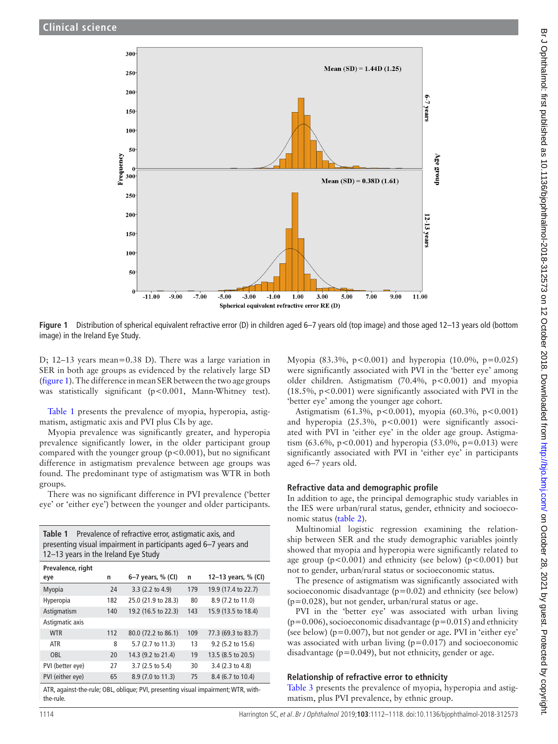

**Figure 1** Distribution of spherical equivalent refractive error (D) in children aged 6–7 years old (top image) and those aged 12–13 years old (bottom image) in the Ireland Eye Study.

D; 12–13 years mean=0.38 D). There was a large variation in SER in both age groups as evidenced by the relatively large SD ([figure](#page-4-0) 1). The difference in mean SER between the two age groups was statistically significant (p<0.001, Mann-Whitney test).

[Table](#page-4-1) 1 presents the prevalence of myopia, hyperopia, astigmatism, astigmatic axis and PVI plus CIs by age.

Myopia prevalence was significantly greater, and hyperopia prevalence significantly lower, in the older participant group compared with the younger group  $(p<0.001)$ , but no significant difference in astigmatism prevalence between age groups was found. The predominant type of astigmatism was WTR in both groups.

There was no significant difference in PVI prevalence ('better eye' or 'either eye') between the younger and older participants.

<span id="page-4-1"></span>

| Prevalence of refractive error, astigmatic axis, and<br>Table 1<br>presenting visual impairment in participants aged 6–7 years and<br>12-13 years in the Ireland Eye Study |     |                             |     |                     |  |
|----------------------------------------------------------------------------------------------------------------------------------------------------------------------------|-----|-----------------------------|-----|---------------------|--|
| Prevalence, right<br>eye                                                                                                                                                   | n   | 6–7 years, % (CI)           | n   | 12–13 years, % (CI) |  |
| Myopia                                                                                                                                                                     | 24  | 3.3 (2.2 to 4.9)            | 179 | 19.9 (17.4 to 22.7) |  |
| Hyperopia                                                                                                                                                                  | 182 | 25.0 (21.9 to 28.3)         | 80  | 8.9 (7.2 to 11.0)   |  |
| Astigmatism                                                                                                                                                                | 140 | 19.2 (16.5 to 22.3)         | 143 | 15.9 (13.5 to 18.4) |  |
| Astigmatic axis                                                                                                                                                            |     |                             |     |                     |  |
| <b>WTR</b>                                                                                                                                                                 | 112 | 80.0 (72.2 to 86.1)         | 109 | 77.3 (69.3 to 83.7) |  |
| <b>ATR</b>                                                                                                                                                                 | 8   | 5.7 (2.7 to 11.3)           | 13  | 9.2 (5.2 to 15.6)   |  |
| OBL                                                                                                                                                                        | 20  | 14.3 (9.2 to 21.4)          | 19  | 13.5 (8.5 to 20.5)  |  |
| PVI (better eye)                                                                                                                                                           | 27  | $3.7$ (2.5 to 5.4)          | 30  | 3.4 (2.3 to 4.8)    |  |
| PVI (either eye)                                                                                                                                                           | 65  | $8.9(7.0 \text{ to } 11.3)$ | 75  | 8.4 (6.7 to 10.4)   |  |

ATR, against-the-rule; OBL, oblique; PVI, presenting visual impairment; WTR, withthe-rule.

<span id="page-4-0"></span>Myopia (83.3%,  $p < 0.001$ ) and hyperopia (10.0%,  $p = 0.025$ ) were significantly associated with PVI in the 'better eye' among older children. Astigmatism (70.4%, p<0.001) and myopia  $(18.5\%, p<0.001)$  were significantly associated with PVI in the 'better eye' among the younger age cohort.

Astigmatism (61.3%, p<0.001), myopia (60.3%, p<0.001) and hyperopia (25.3%, p<0.001) were significantly associated with PVI in 'either eye' in the older age group. Astigmatism (63.6%, p<0.001) and hyperopia (53.0%, p=0.013) were significantly associated with PVI in 'either eye' in participants aged 6–7 years old.

#### **Refractive data and demographic profile**

In addition to age, the principal demographic study variables in the IES were urban/rural status, gender, ethnicity and socioeconomic status [\(table](#page-5-0) 2).

Multinomial logistic regression examining the relationship between SER and the study demographic variables jointly showed that myopia and hyperopia were significantly related to age group ( $p < 0.001$ ) and ethnicity (see below) ( $p < 0.001$ ) but not to gender, urban/rural status or socioeconomic status.

The presence of astigmatism was significantly associated with socioeconomic disadvantage (p=0.02) and ethnicity (see below) (p=0.028), but not gender, urban/rural status or age.

PVI in the 'better eye' was associated with urban living  $(p=0.006)$ , socioeconomic disadvantage  $(p=0.015)$  and ethnicity (see below) (p=0.007), but not gender or age. PVI in 'either eye' was associated with urban living  $(p=0.017)$  and socioeconomic disadvantage ( $p=0.049$ ), but not ethnicity, gender or age.

#### **Relationship of refractive error to ethnicity**

[Table](#page-5-1) 3 presents the prevalence of myopia, hyperopia and astigmatism, plus PVI prevalence, by ethnic group.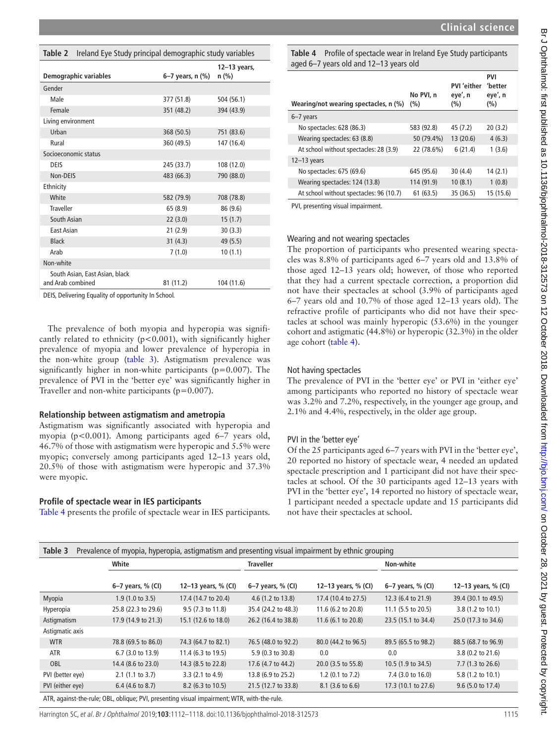| Unit Christian Controller Controller Controller Controller Controller Controller Controller Controller Controller Controller Controller Controller Controller Controller Controller Controller Controller Controller Controlle |
|--------------------------------------------------------------------------------------------------------------------------------------------------------------------------------------------------------------------------------|
|                                                                                                                                                                                                                                |
|                                                                                                                                                                                                                                |
|                                                                                                                                                                                                                                |
|                                                                                                                                                                                                                                |
|                                                                                                                                                                                                                                |
|                                                                                                                                                                                                                                |
|                                                                                                                                                                                                                                |
|                                                                                                                                                                                                                                |
|                                                                                                                                                                                                                                |
|                                                                                                                                                                                                                                |
|                                                                                                                                                                                                                                |
|                                                                                                                                                                                                                                |
|                                                                                                                                                                                                                                |
|                                                                                                                                                                                                                                |
|                                                                                                                                                                                                                                |
|                                                                                                                                                                                                                                |
|                                                                                                                                                                                                                                |
|                                                                                                                                                                                                                                |
|                                                                                                                                                                                                                                |
|                                                                                                                                                                                                                                |
|                                                                                                                                                                                                                                |
|                                                                                                                                                                                                                                |
|                                                                                                                                                                                                                                |

<span id="page-5-0"></span>

| Table 2<br>Ireland Eye Study principal demographic study variables |                    |                           |  |  |  |
|--------------------------------------------------------------------|--------------------|---------------------------|--|--|--|
| Demographic variables                                              | 6–7 years, $n$ (%) | $12-13$ years,<br>$n$ (%) |  |  |  |
| Gender                                                             |                    |                           |  |  |  |
| Male                                                               | 377 (51.8)         | 504 (56.1)                |  |  |  |
| Female                                                             | 351 (48.2)         | 394 (43.9)                |  |  |  |
| Living environment                                                 |                    |                           |  |  |  |
| Urban                                                              | 368 (50.5)         | 751 (83.6)                |  |  |  |
| Rural                                                              | 360 (49.5)         | 147 (16.4)                |  |  |  |
| Socioeconomic status                                               |                    |                           |  |  |  |
| <b>DEIS</b>                                                        | 245 (33.7)         | 108 (12.0)                |  |  |  |
| Non-DEIS                                                           | 483 (66.3)         | 790 (88.0)                |  |  |  |
| Ethnicity                                                          |                    |                           |  |  |  |
| White                                                              | 582 (79.9)         | 708 (78.8)                |  |  |  |
| <b>Traveller</b>                                                   | 65 (8.9)           | 86 (9.6)                  |  |  |  |
| South Asian                                                        | 22(3.0)            | 15(1.7)                   |  |  |  |
| <b>East Asian</b>                                                  | 21(2.9)            | 30(3.3)                   |  |  |  |
| <b>Black</b>                                                       | 31(4.3)            | 49 (5.5)                  |  |  |  |
| Arab                                                               | 7(1.0)             | 10(1.1)                   |  |  |  |
| Non-white                                                          |                    |                           |  |  |  |
| South Asian, East Asian, black<br>and Arab combined                | 81 (11.2)          | 104 (11.6)                |  |  |  |

DEIS, Delivering Equality of opportunity In School.

The prevalence of both myopia and hyperopia was significantly related to ethnicity ( $p < 0.001$ ), with significantly higher prevalence of myopia and lower prevalence of hyperopia in the non-white group ([table](#page-5-1) 3). Astigmatism prevalence was significantly higher in non-white participants ( $p=0.007$ ). The prevalence of PVI in the 'better eye' was significantly higher in Traveller and non-white participants (p=0.007).

#### **Relationship between astigmatism and ametropia**

Astigmatism was significantly associated with hyperopia and myopia (p<0.001). Among participants aged 6–7 years old, 46.7% of those with astigmatism were hyperopic and 5.5% were myopic; conversely among participants aged 12–13 years old, 20.5% of those with astigmatism were hyperopic and 37.3% were myopic.

#### **Profile of spectacle wear in IES participants**

[Table](#page-5-2) 4 presents the profile of spectacle wear in IES participants.

<span id="page-5-2"></span>**Table 4** Profile of spectacle wear in Ireland Eye Study participants aged 6–7 years old and 12–13 years old

**Clinical science**

 $\mathbf{u}$ 

| Wearing/not wearing spectacles, n (%)   | No PVI, n<br>(%) | <b>PVI</b> 'either<br>eye', n<br>(%) | PVI<br>'better<br>eye', n<br>$(\% )$ |
|-----------------------------------------|------------------|--------------------------------------|--------------------------------------|
| $6-7$ years                             |                  |                                      |                                      |
| No spectacles: 628 (86.3)               | 583 (92.8)       | 45(7.2)                              | 20(3.2)                              |
| Wearing spectacles: 63 (8.8)            | 50 (79.4%)       | 13 (20.6)                            | 4(6.3)                               |
| At school without spectacles: 28 (3.9)  | 22 (78.6%)       | 6(21.4)                              | 1(3.6)                               |
| $12-13$ years                           |                  |                                      |                                      |
| No spectacles: 675 (69.6)               | 645 (95.6)       | 30(4.4)                              | 14(2.1)                              |
| Wearing spectacles: 124 (13.8)          | 114 (91.9)       | 10(8.1)                              | 1(0.8)                               |
| At school without spectacles: 96 (10.7) | 61(63.5)         | 35 (36.5)                            | 15 (15.6)                            |

PVI, presenting visual impairment.

#### Wearing and not wearing spectacles

The proportion of participants who presented wearing spectacles was 8.8% of participants aged 6–7 years old and 13.8% of those aged 12–13 years old; however, of those who reported that they had a current spectacle correction, a proportion did not have their spectacles at school (3.9% of participants aged 6–7 years old and 10.7% of those aged 12–13 years old). The refractive profile of participants who did not have their spectacles at school was mainly hyperopic (53.6%) in the younger cohort and astigmatic (44.8%) or hyperopic (32.3%) in the older age cohort ([table](#page-5-2) 4).

#### Not having spectacles

The prevalence of PVI in the 'better eye' or PVI in 'either eye' among participants who reported no history of spectacle wear was 3.2% and 7.2%, respectively, in the younger age group, and 2.1% and 4.4%, respectively, in the older age group.

#### PVI in the 'better eye'

Of the 25 participants aged 6–7 years with PVI in the 'better eye', 20 reported no history of spectacle wear, 4 needed an updated spectacle prescription and 1 participant did not have their spectacles at school. Of the 30 participants aged 12–13 years with PVI in the 'better eye', 14 reported no history of spectacle wear, 1 participant needed a spectacle update and 15 participants did not have their spectacles at school.

<span id="page-5-1"></span>

| Prevalence of myopia, hyperopia, astigmatism and presenting visual impairment by ethnic grouping<br>Table 3 |                            |                             |                     |                     |                               |                             |  |
|-------------------------------------------------------------------------------------------------------------|----------------------------|-----------------------------|---------------------|---------------------|-------------------------------|-----------------------------|--|
|                                                                                                             | White                      |                             |                     | <b>Traveller</b>    |                               | Non-white                   |  |
|                                                                                                             | 6-7 years, % (CI)          | 12-13 years, % (CI)         | 6–7 years, % (CI)   | 12-13 years, % (CI) | 6-7 years, % (CI)             | 12-13 years, % (CI)         |  |
| Myopia                                                                                                      | $1.9(1.0 \text{ to } 3.5)$ | 17.4 (14.7 to 20.4)         | $4.6$ (1.2 to 13.8) | 17.4 (10.4 to 27.5) | 12.3 (6.4 to 21.9)            | 39.4 (30.1 to 49.5)         |  |
| Hyperopia                                                                                                   | 25.8 (22.3 to 29.6)        | $9.5(7.3 \text{ to } 11.8)$ | 35.4 (24.2 to 48.3) | 11.6 (6.2 to 20.8)  | 11.1 $(5.5 \text{ to } 20.5)$ | $3.8(1.2 \text{ to } 10.1)$ |  |
| Astigmatism                                                                                                 | 17.9 (14.9 to 21.3)        | 15.1 (12.6 to 18.0)         | 26.2 (16.4 to 38.8) | 11.6 (6.1 to 20.8)  | 23.5 (15.1 to 34.4)           | 25.0 (17.3 to 34.6)         |  |
| Astigmatic axis                                                                                             |                            |                             |                     |                     |                               |                             |  |
| <b>WTR</b>                                                                                                  | 78.8 (69.5 to 86.0)        | 74.3 (64.7 to 82.1)         | 76.5 (48.0 to 92.2) | 80.0 (44.2 to 96.5) | 89.5 (65.5 to 98.2)           | 88.5 (68.7 to 96.9)         |  |
| ATR                                                                                                         | 6.7 (3.0 to 13.9)          | 11.4 (6.3 to 19.5)          | 5.9 (0.3 to 30.8)   | 0.0                 | 0.0                           | 3.8 (0.2 to 21.6)           |  |
| OBL                                                                                                         | 14.4 (8.6 to 23.0)         | 14.3 (8.5 to 22.8)          | 17.6 (4.7 to 44.2)  | 20.0 (3.5 to 55.8)  | 10.5 (1.9 to 34.5)            | $7.7(1.3 \text{ to } 26.6)$ |  |
| PVI (better eye)                                                                                            | $2.1$ (1.1 to 3.7)         | $3.3(2.1 \text{ to } 4.9)$  | 13.8 (6.9 to 25.2)  | $1.2$ (0.1 to 7.2)  | 7.4 (3.0 to 16.0)             | 5.8 (1.2 to 10.1)           |  |
| PVI (either eye)                                                                                            | $6.4$ (4.6 to 8.7)         | 8.2 (6.3 to 10.5)           | 21.5 (12.7 to 33.8) | 8.1 (3.6 to 6.6)    | 17.3 (10.1 to 27.6)           | 9.6 (5.0 to 17.4)           |  |
| ATR, against-the-rule; OBL, oblique; PVI, presenting visual impairment; WTR, with-the-rule.                 |                            |                             |                     |                     |                               |                             |  |

Harrington SC, et al. Br J Ophthalmol 2019;**103**:1112–1118. doi:10.1136/bjophthalmol-2018-312573 1115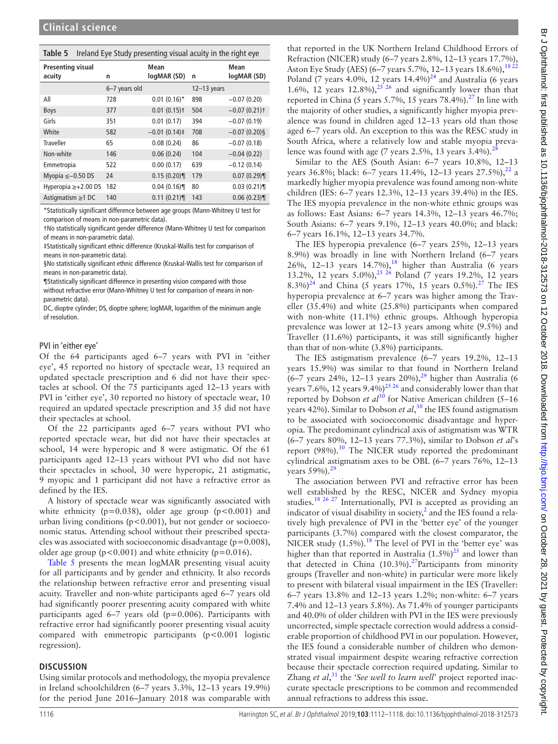<span id="page-6-0"></span>

|  | Table 5 Ireland Eye Study presenting visual acuity in the right eye |
|--|---------------------------------------------------------------------|
|--|---------------------------------------------------------------------|

| <b>Presenting visual</b><br>acuity | n             | Mean<br>logMAR (SD)       | n             | Mean<br>logMAR (SD) |
|------------------------------------|---------------|---------------------------|---------------|---------------------|
|                                    | 6-7 years old |                           | $12-13$ years |                     |
| All                                | 728           | $0.01(0.16)^*$            | 898           | $-0.07(0.20)$       |
| <b>Boys</b>                        | 377           | $0.01(0.15)$ <sup>+</sup> | 504           | $-0.07(0.21)$ t     |
| Girls                              | 351           | 0.01(0.17)                | 394           | $-0.07(0.19)$       |
| White                              | 582           | $-0.01(0.14)$ ‡           | 708           | $-0.07(0.20)$ §     |
| <b>Traveller</b>                   | 65            | 0.08(0.24)                | 86            | $-0.07(0.18)$       |
| Non-white                          | 146           | 0.06(0.24)                | 104           | $-0.04(0.22)$       |
| Emmetropia                         | 522           | 0.00(0.17)                | 639           | $-0.12(0.14)$       |
| Myopia $\leq -0.50$ DS             | 24            | 0.15(0.20)                | 179           | 0.07(0.29)          |
| Hyperopia $\geq +2.00$ DS          | 182           | 0.04(0.16)                | 80            | 0.03(0.21)          |
| Astigmatism $\geq 1$ DC            | 140           | 0.11(0.21)                | 143           | $0.06(0.23)$ ¶      |

\*Statistically significant difference between age groups (Mann-Whitney U test for comparison of means in non-parametric data).

†No statistically significant gender difference (Mann-Whitney U test for comparison of means in non-parametric data).

‡Statistically significant ethnic difference (Kruskal-Wallis test for comparison of means in non-parametric data).

§No statistically significant ethnic difference (Kruskal-Wallis test for comparison of means in non-parametric data).

¶Statistically significant difference in presenting vision compared with those without refractive error (Mann-Whitney U test for comparison of means in non-

parametric data). DC, dioptre cylinder; DS, dioptre sphere; logMAR, logarithm of the minimum angle of resolution.

#### PVI in 'either eye'

Of the 64 participants aged 6–7 years with PVI in 'either eye', 45 reported no history of spectacle wear, 13 required an updated spectacle prescription and 6 did not have their spectacles at school. Of the 75 participants aged 12–13 years with PVI in 'either eye', 30 reported no history of spectacle wear, 10 required an updated spectacle prescription and 35 did not have their spectacles at school.

Of the 22 participants aged 6–7 years without PVI who reported spectacle wear, but did not have their spectacles at school, 14 were hyperopic and 8 were astigmatic. Of the 61 participants aged 12–13 years without PVI who did not have their spectacles in school, 30 were hyperopic, 21 astigmatic, 9 myopic and 1 participant did not have a refractive error as defined by the IES.

A history of spectacle wear was significantly associated with white ethnicity ( $p=0.038$ ), older age group ( $p<0.001$ ) and urban living conditions (p<0.001), but not gender or socioeconomic status. Attending school without their prescribed spectacles was associated with socioeconomic disadvantage ( $p=0.008$ ), older age group ( $p < 0.001$ ) and white ethnicity ( $p = 0.016$ ).

[Table](#page-6-0) 5 presents the mean logMAR presenting visual acuity for all participants and by gender and ethnicity. It also records the relationship between refractive error and presenting visual acuity. Traveller and non-white participants aged 6–7 years old had significantly poorer presenting acuity compared with white participants aged 6–7 years old (p=0.006). Participants with refractive error had significantly poorer presenting visual acuity compared with emmetropic participants  $(p<0.001$  logistic regression).

#### **Discussion**

Using similar protocols and methodology, the myopia prevalence in Ireland schoolchildren (6–7 years 3.3%, 12–13 years 19.9%) for the period June 2016–January 2018 was comparable with

that reported in the UK Northern Ireland Childhood Errors of Refraction (NICER) study (6–7 years 2.8%, 12–13 years 17.7%), Aston Eye Study (AES) (6–7 years 5.7%, 12–13 years 18.6%),<sup>1822</sup> Poland (7 years 4.0%, 12 years  $14.4\%$ )<sup>24</sup> and Australia (6 years 1.6%, 12 years 12.8%),  $2^{5}$  26 and significantly lower than that reported in China (5 years  $5.7\%$ , 15 years  $78.4\%$ ).<sup>27</sup> In line with the majority of other studies, a significantly higher myopia prevalence was found in children aged 12–13 years old than those aged 6–7 years old. An exception to this was the RESC study in South Africa, where a relatively low and stable myopia prevalence was found with age (7 years 2.5%, 13 years 3.4%).<sup>28</sup>

Similar to the AES (South Asian: 6–7 years 10.8%, 12–13 years 36.8%; black: 6–7 years 11.4%, 12–13 years 27.5%),  $^{22}$  $^{22}$  $^{22}$  a markedly higher myopia prevalence was found among non-white children (IES: 6–7 years 12.3%, 12–13 years 39.4%) in the IES. The IES myopia prevalence in the non-white ethnic groups was as follows: East Asians: 6–7 years 14.3%, 12–13 years 46.7%; South Asians: 6–7 years 9.1%, 12–13 years 40.0%; and black: 6–7 years 16.1%, 12–13 years 34.7%.

The IES hyperopia prevalence (6–7 years 25%, 12–13 years 8.9%) was broadly in line with Northern Ireland (6–7 years 26%, 12–13 years 14.7%),<sup>[18](#page-8-2)</sup> higher than Australia (6 years 13.2%, 12 years 5.0%),<sup>[25 26](#page-8-7)</sup> Poland (7 years 19.2%, 12 years 8.3%)<sup>24</sup> and China (5 years 17%, 15 years 0.5%).<sup>27</sup> The IES hyperopia prevalence at 6–7 years was higher among the Traveller (35.4%) and white (25.8%) participants when compared with non-white (11.1%) ethnic groups. Although hyperopia prevalence was lower at 12–13 years among white (9.5%) and Traveller (11.6%) participants, it was still significantly higher than that of non-white (3.8%) participants.

The IES astigmatism prevalence (6–7 years 19.2%, 12–13 years 15.9%) was similar to that found in Northern Ireland (6–7 years 24%, 12–13 years 20%),<sup>29</sup> higher than Australia (6 years 7.6%, 12 years 9.4%)<sup>25.26</sup> and considerably lower than that reported by Dobson *et al*<sup>[30](#page-8-12)</sup> for Native American children (5–16) years 42%). Similar to Dobson *et al*, [30](#page-8-12) the IES found astigmatism to be associated with socioeconomic disadvantage and hyperopia. The predominant cylindrical axis of astigmatism was WTR (6–7 years 80%, 12–13 years 77.3%), similar to Dobson *et al*'s report (98%).[30](#page-8-12) The NICER study reported the predominant cylindrical astigmatism axes to be OBL (6–7 years 76%, 12–13 vears  $59%$ ).<sup>29</sup>

The association between PVI and refractive error has been well established by the RESC, NICER and Sydney myopia studies[.18 26 27](#page-8-2) Internationally, PVI is accepted as providing an indicator of visual disability in society, $^2$  $^2$  and the IES found a relatively high prevalence of PVI in the 'better eye' of the younger participants (3.7%) compared with the closest comparator, the NICER study  $(1.5\%)$ .<sup>[18](#page-8-2)</sup> The level of PVI in the 'better eye' was higher than that reported in Australia  $(1.5\%)^{25}$  $(1.5\%)^{25}$  $(1.5\%)^{25}$  and lower than that detected in China  $(10.3\%)$ .<sup>27</sup>Participants from minority groups (Traveller and non-white) in particular were more likely to present with bilateral visual impairment in the IES (Traveller: 6–7 years 13.8% and 12–13 years 1.2%; non-white: 6–7 years 7.4% and 12–13 years 5.8%). As 71.4% of younger participants and 40.0% of older children with PVI in the IES were previously uncorrected, simple spectacle correction would address a considerable proportion of childhood PVI in our population. However, the IES found a considerable number of children who demonstrated visual impairment despite wearing refractive correction because their spectacle correction required updating. Similar to Zhang *et al*, [31](#page-8-13) the '*See well to learn well*' project reported inaccurate spectacle prescriptions to be common and recommended annual refractions to address this issue.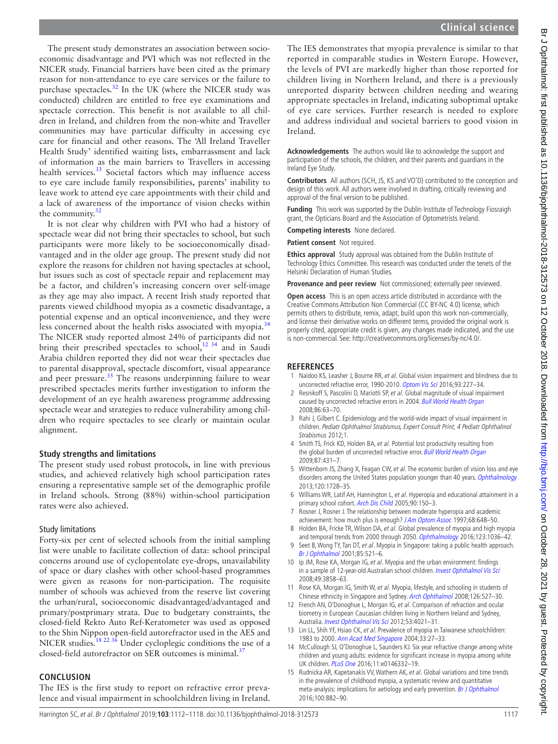The present study demonstrates an association between socioeconomic disadvantage and PVI which was not reflected in the NICER study. Financial barriers have been cited as the primary reason for non-attendance to eye care services or the failure to purchase spectacles.<sup>[32](#page-8-14)</sup> In the UK (where the NICER study was conducted) children are entitled to free eye examinations and spectacle correction. This benefit is not available to all children in Ireland, and children from the non-white and Traveller communities may have particular difficulty in accessing eye care for financial and other reasons. The 'All Ireland Traveller Health Study' identified waiting lists, embarrassment and lack of information as the main barriers to Travellers in accessing health services.<sup>33</sup> Societal factors which may influence access to eye care include family responsibilities, parents' inability to leave work to attend eye care appointments with their child and a lack of awareness of the importance of vision checks within the community. $32$ 

It is not clear why children with PVI who had a history of spectacle wear did not bring their spectacles to school, but such participants were more likely to be socioeconomically disadvantaged and in the older age group. The present study did not explore the reasons for children not having spectacles at school, but issues such as cost of spectacle repair and replacement may be a factor, and children's increasing concern over self-image as they age may also impact. A recent Irish study reported that parents viewed childhood myopia as a cosmetic disadvantage, a potential expense and an optical inconvenience, and they were less concerned about the health risks associated with myopia.<sup>[34](#page-8-16)</sup> The NICER study reported almost 24% of participants did not bring their prescribed spectacles to school,<sup>[12 34](#page-7-11)</sup> and in Saudi Arabia children reported they did not wear their spectacles due to parental disapproval, spectacle discomfort, visual appearance and peer pressure.<sup>35</sup> The reasons underpinning failure to wear prescribed spectacles merits further investigation to inform the development of an eye health awareness programme addressing spectacle wear and strategies to reduce vulnerability among children who require spectacles to see clearly or maintain ocular alignment.

#### **Study strengths and limitations**

The present study used robust protocols, in line with previous studies, and achieved relatively high school participation rates ensuring a representative sample set of the demographic profile in Ireland schools. Strong (88%) within-school participation rates were also achieved.

#### Study limitations

Forty-six per cent of selected schools from the initial sampling list were unable to facilitate collection of data: school principal concerns around use of cyclopentolate eye-drops, unavailability of space or diary clashes with other school-based programmes were given as reasons for non-participation. The requisite number of schools was achieved from the reserve list covering the urban/rural, socioeconomic disadvantaged/advantaged and primary/postprimary strata. Due to budgetary constraints, the closed-field Rekto Auto Ref-Keratometer was used as opposed to the Shin Nippon open-field autorefractor used in the AES and NICER studies.<sup>18 22 36</sup> Under cycloplegic conditions the use of a closed-field autorefractor on SER outcomes is minimal.<sup>3</sup>

#### **Conclusion**

The IES is the first study to report on refractive error prevalence and visual impairment in schoolchildren living in Ireland. The IES demonstrates that myopia prevalence is similar to that reported in comparable studies in Western Europe. However, the levels of PVI are markedly higher than those reported for children living in Northern Ireland, and there is a previously unreported disparity between children needing and wearing appropriate spectacles in Ireland, indicating suboptimal uptake of eye care services. Further research is needed to explore and address individual and societal barriers to good vision in Ireland.

**Acknowledgements** The authors would like to acknowledge the support and participation of the schools, the children, and their parents and guardians in the Ireland Eye Study.

**Contributors** All authors (SCH, JS, KS and VO'D) contributed to the conception and design of this work. All authors were involved in drafting, critically reviewing and approval of the final version to be published.

**Funding** This work was supported by the Dublin Institute of Technology Fiosraigh grant, the Opticians Board and the Association of Optometrists Ireland.

**Competing interests** None declared.

**Patient consent** Not required.

**Ethics approval** Study approval was obtained from the Dublin Institute of Technology Ethics Committee. This research was conducted under the tenets of the Helsinki Declaration of Human Studies.

**Provenance and peer review** Not commissioned; externally peer reviewed.

**Open access** This is an open access article distributed in accordance with the Creative Commons Attribution Non Commercial (CC BY-NC 4.0) license, which permits others to distribute, remix, adapt, build upon this work non-commercially, and license their derivative works on different terms, provided the original work is properly cited, appropriate credit is given, any changes made indicated, and the use is non-commercial. See: [http://creativecommons.org/licenses/by-nc/4.0/.](http://creativecommons.org/licenses/by-nc/4.0/)

#### **References**

- <span id="page-7-0"></span>1 Naidoo KS, Leasher J, Bourne RR, et al. Global vision impairment and blindness due to uncorrected refractive error, 1990-2010. [Optom Vis Sci](http://dx.doi.org/10.1097/OPX.0000000000000796) 2016;93:227-34.
- <span id="page-7-1"></span>2 Resnikoff S, Pascolini D, Mariotti SP, et al. Global magnitude of visual impairment caused by uncorrected refractive errors in 2004. [Bull World Health Organ](http://dx.doi.org/10.2471/BLT.07.041210) 2008;86:63–70.
- <span id="page-7-2"></span>3 Rahi J, Gilbert C. Epidemiology and the world-wide impact of visual impairment in children. Pediatr Ophthalmol Strabismus, Expert Consult Print, 4 Pediatr Ophthalmol Strabismus 2012;1.
- <span id="page-7-3"></span>4 Smith TS, Frick KD, Holden BA, et al. Potential lost productivity resulting from the global burden of uncorrected refractive error. [Bull World Health Organ](http://dx.doi.org/10.2471/BLT.08.055673) 2009;87:431–7.
- 5 Wittenborn JS, Zhang X, Feagan CW, et al. The economic burden of vision loss and eye disorders among the United States population younger than 40 years. [Ophthalmology](http://dx.doi.org/10.1016/j.ophtha.2013.01.068) 2013;120:1728–35.
- <span id="page-7-4"></span>6 Williams WR, Latif AH, Hannington L, et al. Hyperopia and educational attainment in a primary school cohort. [Arch Dis Child](http://dx.doi.org/10.1136/adc.2003.046755) 2005;90:150-3.
- Rosner J, Rosner J. The relationship between moderate hyperopia and academic achievement: how much plus is enough? [J Am Optom Assoc](http://www.ncbi.nlm.nih.gov/pubmed/9354056) 1997;68:648-50.
- <span id="page-7-5"></span>8 Holden BA, Fricke TR, Wilson DA, et al. Global prevalence of myopia and high myopia and temporal trends from 2000 through 2050. [Ophthalmology](http://dx.doi.org/10.1016/j.ophtha.2016.01.006) 2016;123:1036-42.
- <span id="page-7-6"></span>9 Seet B, Wong TY, Tan DT, et al. Myopia in Singapore: taking a public health approach. [Br J Ophthalmol](http://dx.doi.org/10.1136/bjo.85.5.521) 2001;85:521–6.
- <span id="page-7-7"></span>10 Ip JM, Rose KA, Morgan IG, et al. Myopia and the urban environment: findings in a sample of 12-year-old Australian school children. [Invest Ophthalmol Vis Sci](http://dx.doi.org/10.1167/iovs.07-1451) 2008;49:3858–63.
- <span id="page-7-8"></span>11 Rose KA, Morgan IG, Smith W, et al. Myopia, lifestyle, and schooling in students of Chinese ethnicity in Singapore and Sydney. [Arch Ophthalmol](http://dx.doi.org/10.1001/archopht.126.4.527) 2008;126:527–30.
- <span id="page-7-11"></span>12 French AN, O'Donoghue L, Morgan IG, et al. Comparison of refraction and ocular biometry in European Caucasian children living in Northern Ireland and Sydney, Australia. [Invest Ophthalmol Vis Sci](http://dx.doi.org/10.1167/iovs.12-9556) 2012;53:4021–31.
- <span id="page-7-9"></span>13 Lin LL, Shih YF, Hsiao CK, et al. Prevalence of myopia in Taiwanese schoolchildren: 1983 to 2000. [Ann Acad Med Singapore](http://www.ncbi.nlm.nih.gov/pubmed/15008558) 2004;33:27–33.
- 14 McCullough SJ, O'Donoghue L, Saunders KJ. Six year refractive change among white children and young adults: evidence for significant increase in myopia among white UK children. [PLoS One](http://dx.doi.org/10.1371/journal.pone.0146332) 2016;11:e0146332–19.
- <span id="page-7-10"></span>15 Rudnicka AR, Kapetanakis VV, Wathern AK, et al. Global variations and time trends in the prevalence of childhood myopia, a systematic review and quantitative meta-analysis: implications for aetiology and early prevention. [Br J Ophthalmol](http://dx.doi.org/10.1136/bjophthalmol-2015-307724) 2016;100:882–90.